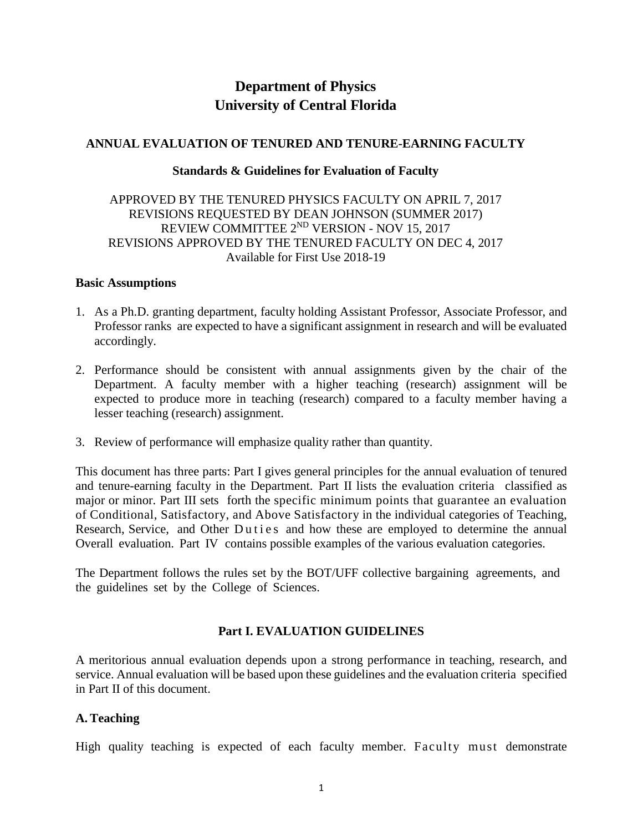# **Department of Physics University of Central Florida**

## **ANNUAL EVALUATION OF TENURED AND TENURE-EARNING FACULTY**

#### **Standards & Guidelines for Evaluation of Faculty**

## APPROVED BY THE TENURED PHYSICS FACULTY ON APRIL 7, 2017 REVISIONS REQUESTED BY DEAN JOHNSON (SUMMER 2017) REVIEW COMMITTEE 2<sup>ND</sup> VERSION - NOV 15, 2017 REVISIONS APPROVED BY THE TENURED FACULTY ON DEC 4, 2017 Available for First Use 2018-19

#### **Basic Assumptions**

- 1. As a Ph.D. granting department, faculty holding Assistant Professor, Associate Professor, and Professor ranks are expected to have a significant assignment in research and will be evaluated accordingly.
- 2. Performance should be consistent with annual assignments given by the chair of the Department. A faculty member with a higher teaching (research) assignment will be expected to produce more in teaching (research) compared to a faculty member having a lesser teaching (research) assignment.
- 3. Review of performance will emphasize quality rather than quantity.

This document has three parts: Part I gives general principles for the annual evaluation of tenured and tenure-earning faculty in the Department. Part II lists the evaluation criteria classified as major or minor. Part III sets forth the specific minimum points that guarantee an evaluation of Conditional, Satisfactory, and Above Satisfactory in the individual categories of Teaching, Research, Service, and Other Duties and how these are employed to determine the annual Overall evaluation. Part IV contains possible examples of the various evaluation categories.

The Department follows the rules set by the BOT/UFF collective bargaining agreements, and the guidelines set by the College of Sciences.

## **Part I. EVALUATION GUIDELINES**

A meritorious annual evaluation depends upon a strong performance in teaching, research, and service. Annual evaluation will be based upon these guidelines and the evaluation criteria specified in Part II of this document.

## **A.Teaching**

High quality teaching is expected of each faculty member. Faculty must demonstrate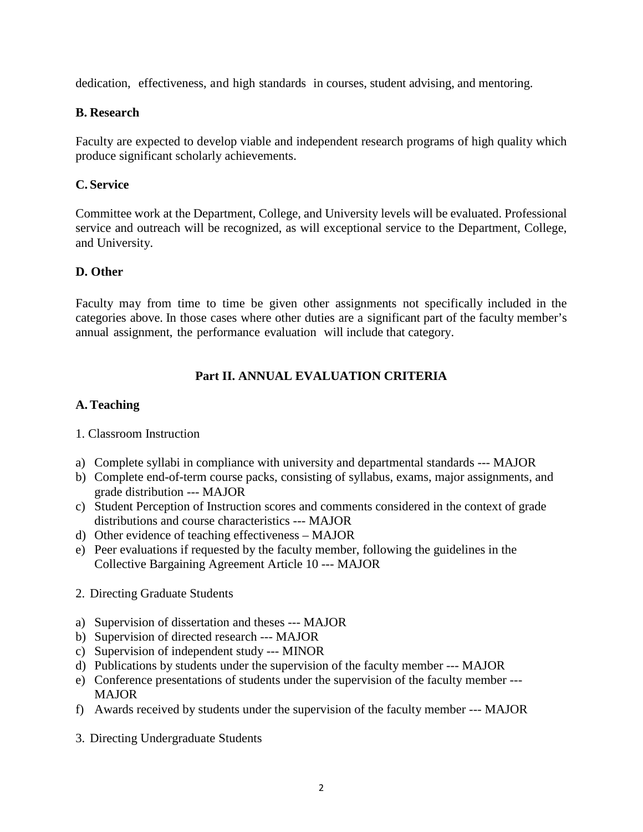dedication, effectiveness, and high standards in courses, student advising, and mentoring.

# **B. Research**

Faculty are expected to develop viable and independent research programs of high quality which produce significant scholarly achievements.

# **C. Service**

Committee work at the Department, College, and University levels will be evaluated. Professional service and outreach will be recognized, as will exceptional service to the Department, College, and University.

# **D. Other**

Faculty may from time to time be given other assignments not specifically included in the categories above. In those cases where other duties are a significant part of the faculty member's annual assignment, the performance evaluation will include that category.

# **Part II. ANNUAL EVALUATION CRITERIA**

## **A.Teaching**

- 1. Classroom Instruction
- a) Complete syllabi in compliance with university and departmental standards --- MAJOR
- b) Complete end-of-term course packs, consisting of syllabus, exams, major assignments, and grade distribution --- MAJOR
- c) Student Perception of Instruction scores and comments considered in the context of grade distributions and course characteristics --- MAJOR
- d) Other evidence of teaching effectiveness MAJOR
- e) Peer evaluations if requested by the faculty member, following the guidelines in the Collective Bargaining Agreement Article 10 --- MAJOR
- 2. Directing Graduate Students
- a) Supervision of dissertation and theses --- MAJOR
- b) Supervision of directed research --- MAJOR
- c) Supervision of independent study --- MINOR
- d) Publications by students under the supervision of the faculty member --- MAJOR
- e) Conference presentations of students under the supervision of the faculty member --- MAJOR
- f) Awards received by students under the supervision of the faculty member --- MAJOR
- 3. Directing Undergraduate Students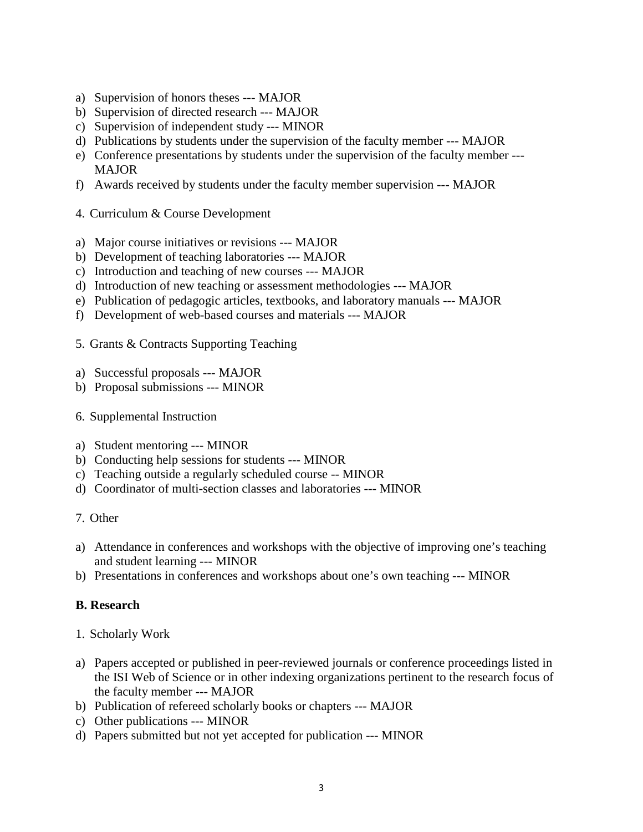- a) Supervision of honors theses --- MAJOR
- b) Supervision of directed research --- MAJOR
- c) Supervision of independent study --- MINOR
- d) Publications by students under the supervision of the faculty member --- MAJOR
- e) Conference presentations by students under the supervision of the faculty member --- MAJOR
- f) Awards received by students under the faculty member supervision --- MAJOR
- 4. Curriculum & Course Development
- a) Major course initiatives or revisions --- MAJOR
- b) Development of teaching laboratories --- MAJOR
- c) Introduction and teaching of new courses --- MAJOR
- d) Introduction of new teaching or assessment methodologies --- MAJOR
- e) Publication of pedagogic articles, textbooks, and laboratory manuals --- MAJOR
- f) Development of web-based courses and materials --- MAJOR
- 5. Grants & Contracts Supporting Teaching
- a) Successful proposals --- MAJOR
- b) Proposal submissions --- MINOR
- 6. Supplemental Instruction
- a) Student mentoring --- MINOR
- b) Conducting help sessions for students --- MINOR
- c) Teaching outside a regularly scheduled course -- MINOR
- d) Coordinator of multi-section classes and laboratories --- MINOR
- 7. Other
- a) Attendance in conferences and workshops with the objective of improving one's teaching and student learning --- MINOR
- b) Presentations in conferences and workshops about one's own teaching --- MINOR

# **B. Research**

- 1. Scholarly Work
- a) Papers accepted or published in peer-reviewed journals or conference proceedings listed in the ISI Web of Science or in other indexing organizations pertinent to the research focus of the faculty member --- MAJOR
- b) Publication of refereed scholarly books or chapters --- MAJOR
- c) Other publications --- MINOR
- d) Papers submitted but not yet accepted for publication --- MINOR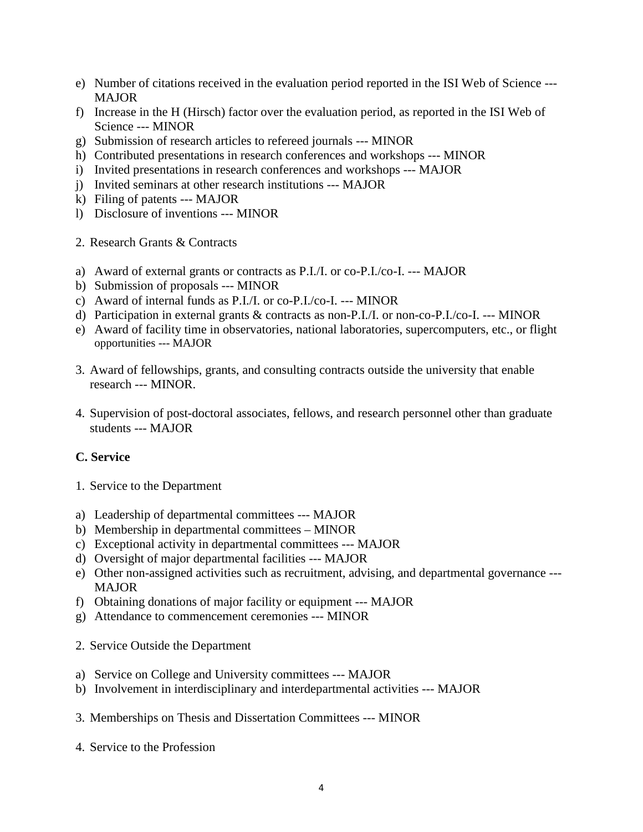- e) Number of citations received in the evaluation period reported in the ISI Web of Science --- MAJOR
- f) Increase in the H (Hirsch) factor over the evaluation period, as reported in the ISI Web of Science --- MINOR
- g) Submission of research articles to refereed journals --- MINOR
- h) Contributed presentations in research conferences and workshops --- MINOR
- i) Invited presentations in research conferences and workshops --- MAJOR
- j) Invited seminars at other research institutions --- MAJOR
- k) Filing of patents --- MAJOR
- l) Disclosure of inventions --- MINOR
- 2. Research Grants & Contracts
- a) Award of external grants or contracts as P.I./I. or co-P.I./co-I. --- MAJOR
- b) Submission of proposals --- MINOR
- c) Award of internal funds as P.I./I. or co-P.I./co-I. --- MINOR
- d) Participation in external grants & contracts as non-P.I./I. or non-co-P.I./co-I. --- MINOR
- e) Award of facility time in observatories, national laboratories, supercomputers, etc., or flight opportunities --- MAJOR
- 3. Award of fellowships, grants, and consulting contracts outside the university that enable research --- MINOR.
- 4. Supervision of post-doctoral associates, fellows, and research personnel other than graduate students --- MAJOR

# **C. Service**

- 1. Service to the Department
- a) Leadership of departmental committees --- MAJOR
- b) Membership in departmental committees MINOR
- c) Exceptional activity in departmental committees --- MAJOR
- d) Oversight of major departmental facilities --- MAJOR
- e) Other non-assigned activities such as recruitment, advising, and departmental governance --- MAJOR
- f) Obtaining donations of major facility or equipment --- MAJOR
- g) Attendance to commencement ceremonies --- MINOR
- 2. Service Outside the Department
- a) Service on College and University committees --- MAJOR
- b) Involvement in interdisciplinary and interdepartmental activities --- MAJOR
- 3. Memberships on Thesis and Dissertation Committees --- MINOR
- 4. Service to the Profession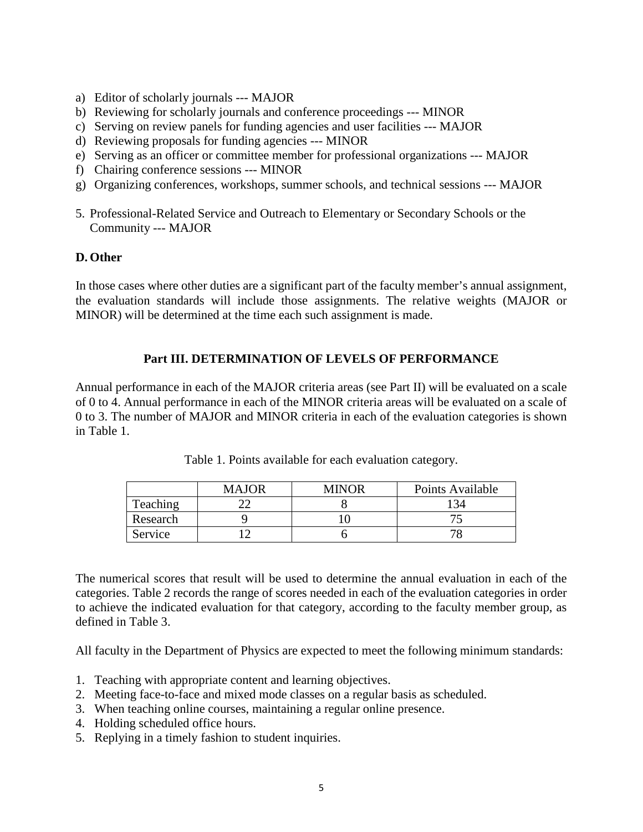- a) Editor of scholarly journals --- MAJOR
- b) Reviewing for scholarly journals and conference proceedings --- MINOR
- c) Serving on review panels for funding agencies and user facilities --- MAJOR
- d) Reviewing proposals for funding agencies --- MINOR
- e) Serving as an officer or committee member for professional organizations --- MAJOR
- f) Chairing conference sessions --- MINOR
- g) Organizing conferences, workshops, summer schools, and technical sessions --- MAJOR
- 5. Professional-Related Service and Outreach to Elementary or Secondary Schools or the Community --- MAJOR

## **D. Other**

In those cases where other duties are a significant part of the faculty member's annual assignment, the evaluation standards will include those assignments. The relative weights (MAJOR or MINOR) will be determined at the time each such assignment is made.

# **Part III. DETERMINATION OF LEVELS OF PERFORMANCE**

Annual performance in each of the MAJOR criteria areas (see Part II) will be evaluated on a scale of 0 to 4. Annual performance in each of the MINOR criteria areas will be evaluated on a scale of 0 to 3. The number of MAJOR and MINOR criteria in each of the evaluation categories is shown in Table 1.

|          | <b>MAJOR</b> | <b>MINOR</b> | Points Available |
|----------|--------------|--------------|------------------|
| Teaching |              |              |                  |
| Research |              |              |                  |
| Service  |              |              |                  |

Table 1. Points available for each evaluation category.

The numerical scores that result will be used to determine the annual evaluation in each of the categories. Table 2 records the range of scores needed in each of the evaluation categories in order to achieve the indicated evaluation for that category, according to the faculty member group, as defined in Table 3.

All faculty in the Department of Physics are expected to meet the following minimum standards:

- 1. Teaching with appropriate content and learning objectives.
- 2. Meeting face-to-face and mixed mode classes on a regular basis as scheduled.
- 3. When teaching online courses, maintaining a regular online presence.
- 4. Holding scheduled office hours.
- 5. Replying in a timely fashion to student inquiries.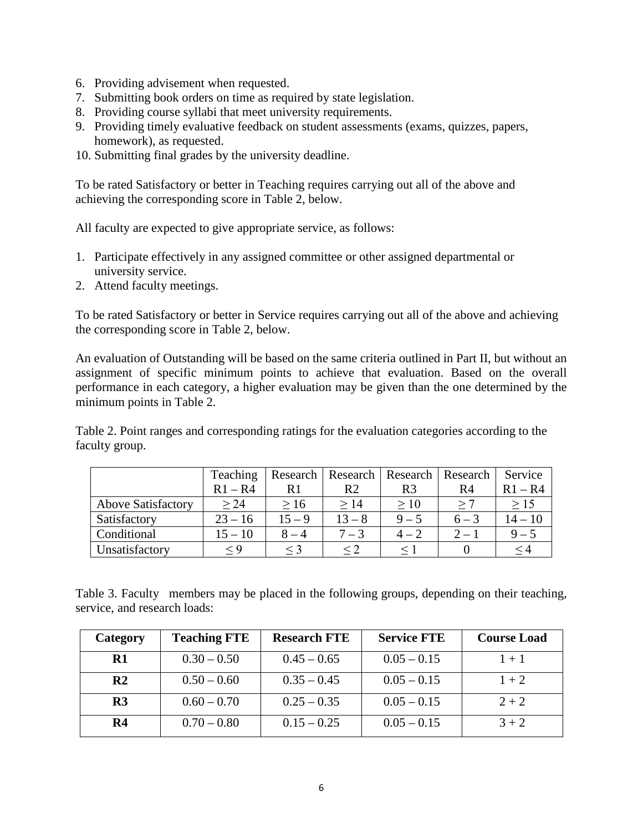- 6. Providing advisement when requested.
- 7. Submitting book orders on time as required by state legislation.
- 8. Providing course syllabi that meet university requirements.
- 9. Providing timely evaluative feedback on student assessments (exams, quizzes, papers, homework), as requested.
- 10. Submitting final grades by the university deadline.

To be rated Satisfactory or better in Teaching requires carrying out all of the above and achieving the corresponding score in Table 2, below.

All faculty are expected to give appropriate service, as follows:

- 1. Participate effectively in any assigned committee or other assigned departmental or university service.
- 2. Attend faculty meetings.

To be rated Satisfactory or better in Service requires carrying out all of the above and achieving the corresponding score in Table 2, below.

An evaluation of Outstanding will be based on the same criteria outlined in Part II, but without an assignment of specific minimum points to achieve that evaluation. Based on the overall performance in each category, a higher evaluation may be given than the one determined by the minimum points in Table 2.

Table 2. Point ranges and corresponding ratings for the evaluation categories according to the faculty group.

|                           | Teaching  |          | Research   Research   Research   Research |                |         | Service   |
|---------------------------|-----------|----------|-------------------------------------------|----------------|---------|-----------|
|                           | $R1 - R4$ | R1       | R2                                        | R <sub>3</sub> | R4      | $R1 - R4$ |
| <b>Above Satisfactory</b> | > 24      | >16      | >14                                       | >10            | >7      | >15       |
| Satisfactory              | $23 - 16$ | $15 - 9$ | $13 - 8$                                  | $9 - 5$        | $6 - 3$ | $14-10$   |
| Conditional               | $15 - 10$ | $8 - 4$  | $7 - 3$                                   | $4 - 2$        | $2 - 1$ | $9 - 5$   |
| Unsatisfactory            | $\lt 9$   | $\leq$ 3 |                                           |                |         | ≤4        |

Table 3. Faculty members may be placed in the following groups, depending on their teaching, service, and research loads:

| Category       | <b>Teaching FTE</b> | <b>Research FTE</b> | <b>Service FTE</b> | <b>Course Load</b> |
|----------------|---------------------|---------------------|--------------------|--------------------|
| $\mathbf{R}1$  | $0.30 - 0.50$       | $0.45 - 0.65$       | $0.05 - 0.15$      | $1 + 1$            |
| R <sub>2</sub> | $0.50 - 0.60$       | $0.35 - 0.45$       | $0.05 - 0.15$      | $1 + 2$            |
| R <sub>3</sub> | $0.60 - 0.70$       | $0.25 - 0.35$       | $0.05 - 0.15$      | $2 + 2$            |
| R4             | $0.70 - 0.80$       | $0.15 - 0.25$       | $0.05 - 0.15$      | $3 + 2$            |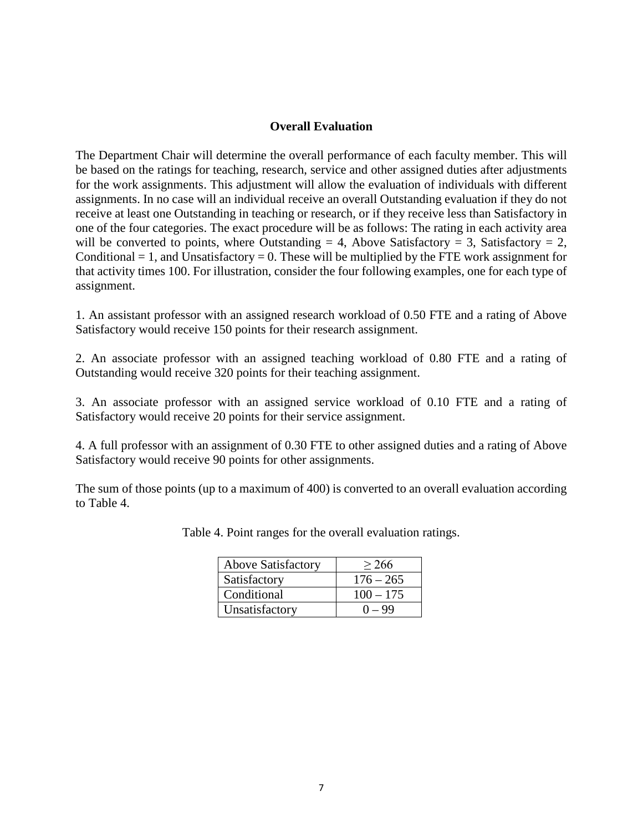## **Overall Evaluation**

The Department Chair will determine the overall performance of each faculty member. This will be based on the ratings for teaching, research, service and other assigned duties after adjustments for the work assignments. This adjustment will allow the evaluation of individuals with different assignments. In no case will an individual receive an overall Outstanding evaluation if they do not receive at least one Outstanding in teaching or research, or if they receive less than Satisfactory in one of the four categories. The exact procedure will be as follows: The rating in each activity area will be converted to points, where Outstanding  $= 4$ , Above Satisfactory  $= 3$ , Satisfactory  $= 2$ , Conditional  $= 1$ , and Unsatisfactory  $= 0$ . These will be multiplied by the FTE work assignment for that activity times 100. For illustration, consider the four following examples, one for each type of assignment.

1. An assistant professor with an assigned research workload of 0.50 FTE and a rating of Above Satisfactory would receive 150 points for their research assignment.

2. An associate professor with an assigned teaching workload of 0.80 FTE and a rating of Outstanding would receive 320 points for their teaching assignment.

3. An associate professor with an assigned service workload of 0.10 FTE and a rating of Satisfactory would receive 20 points for their service assignment.

4. A full professor with an assignment of 0.30 FTE to other assigned duties and a rating of Above Satisfactory would receive 90 points for other assignments.

The sum of those points (up to a maximum of 400) is converted to an overall evaluation according to Table 4.

| <b>Above Satisfactory</b> | > 266       |
|---------------------------|-------------|
| Satisfactory              | $176 - 265$ |
| Conditional               | $100 - 175$ |
| Unsatisfactory            | $0 - 99$    |

Table 4. Point ranges for the overall evaluation ratings.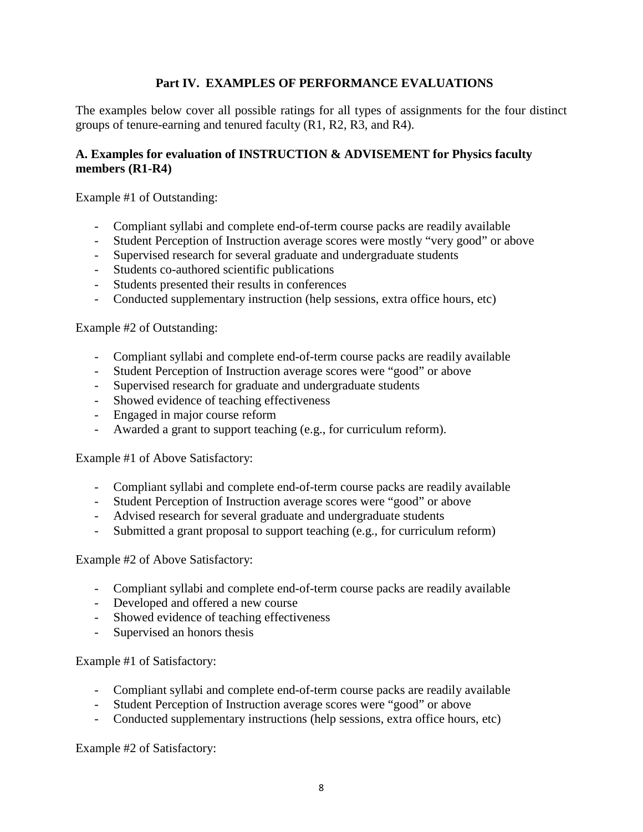# **Part IV. EXAMPLES OF PERFORMANCE EVALUATIONS**

The examples below cover all possible ratings for all types of assignments for the four distinct groups of tenure-earning and tenured faculty (R1, R2, R3, and R4).

# **A. Examples for evaluation of INSTRUCTION & ADVISEMENT for Physics faculty members (R1-R4)**

Example #1 of Outstanding:

- Compliant syllabi and complete end-of-term course packs are readily available
- Student Perception of Instruction average scores were mostly "very good" or above
- Supervised research for several graduate and undergraduate students
- Students co-authored scientific publications
- Students presented their results in conferences
- Conducted supplementary instruction (help sessions, extra office hours, etc)

Example #2 of Outstanding:

- Compliant syllabi and complete end-of-term course packs are readily available
- Student Perception of Instruction average scores were "good" or above
- Supervised research for graduate and undergraduate students
- Showed evidence of teaching effectiveness
- Engaged in major course reform
- Awarded a grant to support teaching (e.g., for curriculum reform).

Example #1 of Above Satisfactory:

- Compliant syllabi and complete end-of-term course packs are readily available
- Student Perception of Instruction average scores were "good" or above
- Advised research for several graduate and undergraduate students
- Submitted a grant proposal to support teaching (e.g., for curriculum reform)

Example #2 of Above Satisfactory:

- Compliant syllabi and complete end-of-term course packs are readily available
- Developed and offered a new course
- Showed evidence of teaching effectiveness
- Supervised an honors thesis

Example #1 of Satisfactory:

- Compliant syllabi and complete end-of-term course packs are readily available
- Student Perception of Instruction average scores were "good" or above
- Conducted supplementary instructions (help sessions, extra office hours, etc)

Example #2 of Satisfactory: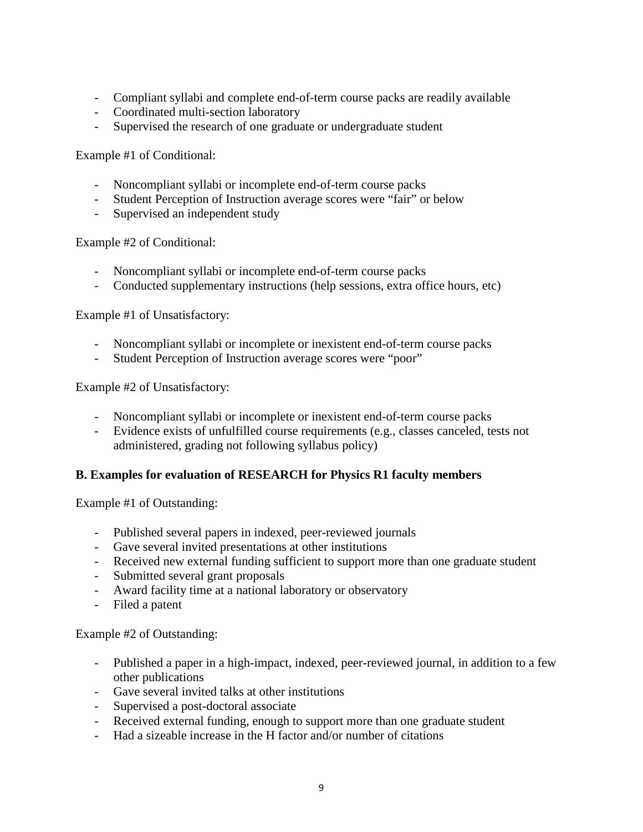- Compliant syllabi and complete end-of-term course packs are readily available
- Coordinated multi-section laboratory
- Supervised the research of one graduate or undergraduate student

Example #1 of Conditional:

- Noncompliant syllabi or incomplete end-of-term course packs
- Student Perception of Instruction average scores were "fair" or below
- Supervised an independent study

Example #2 of Conditional:

- Noncompliant syllabi or incomplete end-of-term course packs
- Conducted supplementary instructions (help sessions, extra office hours, etc)

Example #1 of Unsatisfactory:

- Noncompliant syllabi or incomplete or inexistent end-of-term course packs
- Student Perception of Instruction average scores were "poor"

Example #2 of Unsatisfactory:

- Noncompliant syllabi or incomplete or inexistent end-of-term course packs
- Evidence exists of unfulfilled course requirements (e.g., classes canceled, tests not administered, grading not following syllabus policy)

## **B. Examples for evaluation of RESEARCH for Physics R1 faculty members**

Example #1 of Outstanding:

- Published several papers in indexed, peer-reviewed journals
- Gave several invited presentations at other institutions
- Received new external funding sufficient to support more than one graduate student
- Submitted several grant proposals
- Award facility time at a national laboratory or observatory
- Filed a patent

Example #2 of Outstanding:

- Published a paper in a high-impact, indexed, peer-reviewed journal, in addition to a few other publications
- Gave several invited talks at other institutions
- Supervised a post-doctoral associate
- Received external funding, enough to support more than one graduate student
- Had a sizeable increase in the H factor and/or number of citations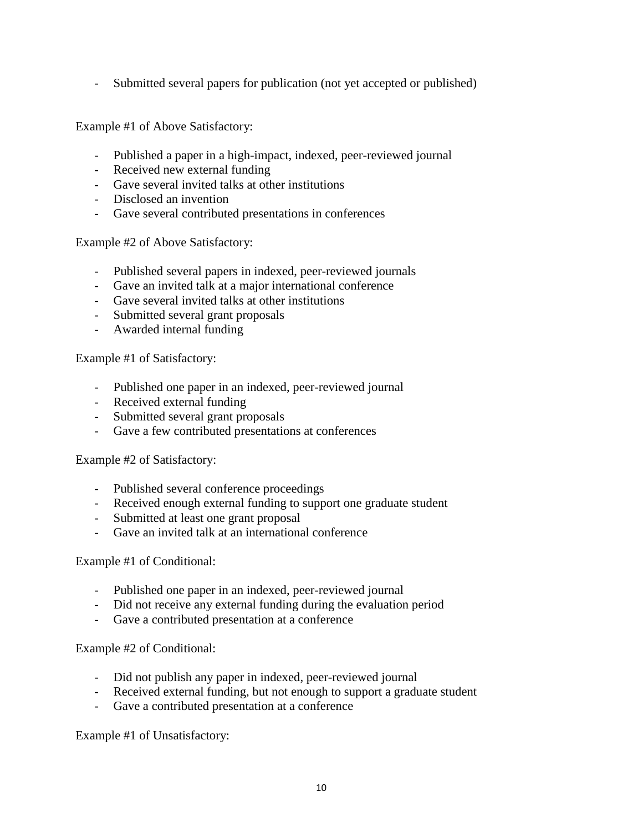- Submitted several papers for publication (not yet accepted or published)

Example #1 of Above Satisfactory:

- Published a paper in a high-impact, indexed, peer-reviewed journal
- Received new external funding
- Gave several invited talks at other institutions
- Disclosed an invention
- Gave several contributed presentations in conferences

Example #2 of Above Satisfactory:

- Published several papers in indexed, peer-reviewed journals
- Gave an invited talk at a major international conference
- Gave several invited talks at other institutions
- Submitted several grant proposals
- Awarded internal funding

Example #1 of Satisfactory:

- Published one paper in an indexed, peer-reviewed journal
- Received external funding
- Submitted several grant proposals
- Gave a few contributed presentations at conferences

## Example #2 of Satisfactory:

- Published several conference proceedings
- Received enough external funding to support one graduate student
- Submitted at least one grant proposal
- Gave an invited talk at an international conference

## Example #1 of Conditional:

- Published one paper in an indexed, peer-reviewed journal
- Did not receive any external funding during the evaluation period
- Gave a contributed presentation at a conference

## Example #2 of Conditional:

- Did not publish any paper in indexed, peer-reviewed journal
- Received external funding, but not enough to support a graduate student
- Gave a contributed presentation at a conference

Example #1 of Unsatisfactory: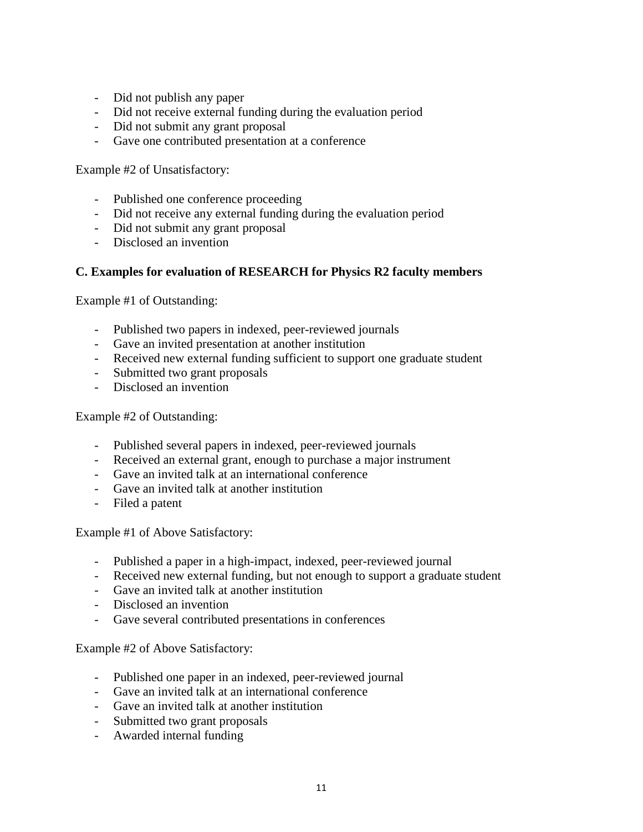- Did not publish any paper
- Did not receive external funding during the evaluation period
- Did not submit any grant proposal
- Gave one contributed presentation at a conference

Example #2 of Unsatisfactory:

- Published one conference proceeding
- Did not receive any external funding during the evaluation period
- Did not submit any grant proposal
- Disclosed an invention

## **C. Examples for evaluation of RESEARCH for Physics R2 faculty members**

Example #1 of Outstanding:

- Published two papers in indexed, peer-reviewed journals
- Gave an invited presentation at another institution
- Received new external funding sufficient to support one graduate student
- Submitted two grant proposals
- Disclosed an invention

Example #2 of Outstanding:

- Published several papers in indexed, peer-reviewed journals
- Received an external grant, enough to purchase a major instrument
- Gave an invited talk at an international conference
- Gave an invited talk at another institution
- Filed a patent

Example #1 of Above Satisfactory:

- Published a paper in a high-impact, indexed, peer-reviewed journal
- Received new external funding, but not enough to support a graduate student
- Gave an invited talk at another institution
- Disclosed an invention
- Gave several contributed presentations in conferences

Example #2 of Above Satisfactory:

- Published one paper in an indexed, peer-reviewed journal
- Gave an invited talk at an international conference
- Gave an invited talk at another institution
- Submitted two grant proposals
- Awarded internal funding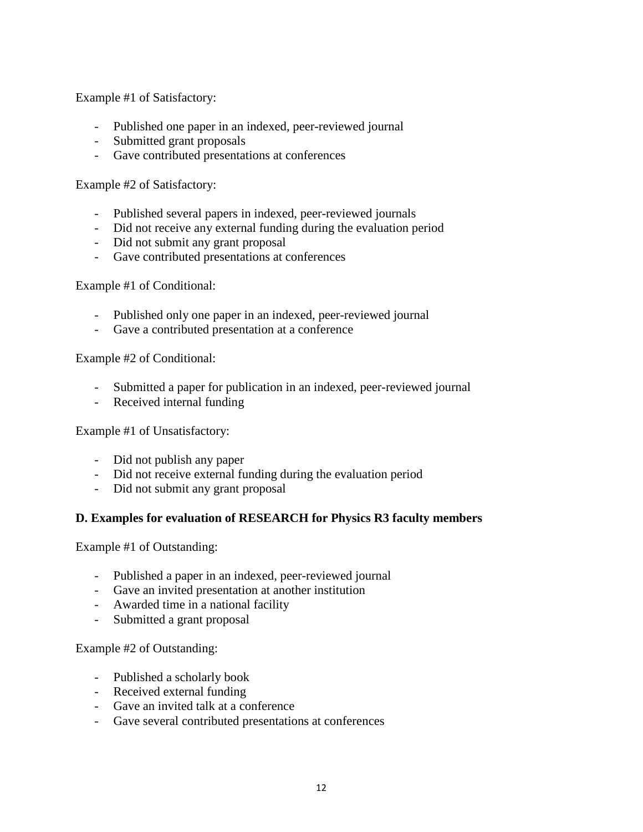Example #1 of Satisfactory:

- Published one paper in an indexed, peer-reviewed journal
- Submitted grant proposals
- Gave contributed presentations at conferences

Example #2 of Satisfactory:

- Published several papers in indexed, peer-reviewed journals
- Did not receive any external funding during the evaluation period
- Did not submit any grant proposal
- Gave contributed presentations at conferences

Example #1 of Conditional:

- Published only one paper in an indexed, peer-reviewed journal
- Gave a contributed presentation at a conference

Example #2 of Conditional:

- Submitted a paper for publication in an indexed, peer-reviewed journal
- Received internal funding

Example #1 of Unsatisfactory:

- Did not publish any paper
- Did not receive external funding during the evaluation period
- Did not submit any grant proposal

## **D. Examples for evaluation of RESEARCH for Physics R3 faculty members**

Example #1 of Outstanding:

- Published a paper in an indexed, peer-reviewed journal
- Gave an invited presentation at another institution
- Awarded time in a national facility
- Submitted a grant proposal

Example #2 of Outstanding:

- Published a scholarly book
- Received external funding
- Gave an invited talk at a conference
- Gave several contributed presentations at conferences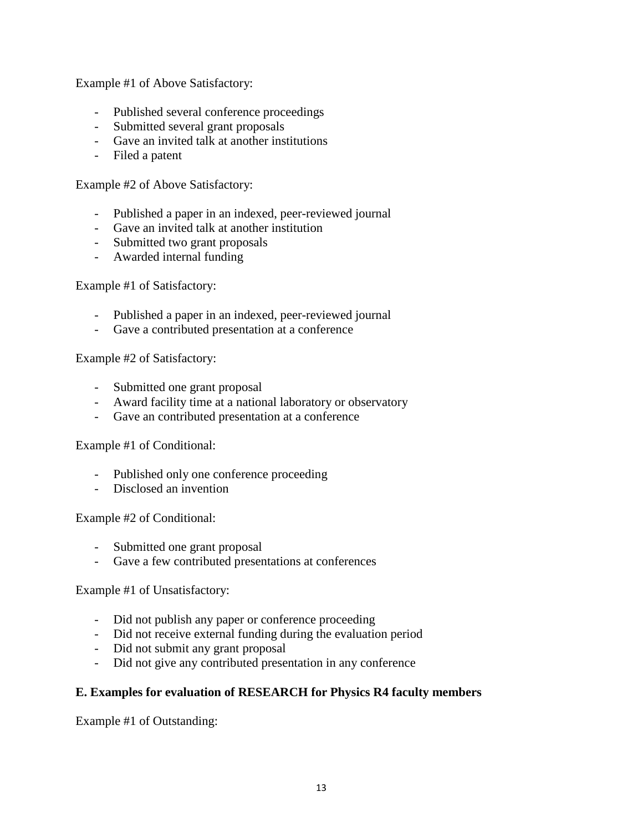Example #1 of Above Satisfactory:

- Published several conference proceedings
- Submitted several grant proposals
- Gave an invited talk at another institutions
- Filed a patent

Example #2 of Above Satisfactory:

- Published a paper in an indexed, peer-reviewed journal
- Gave an invited talk at another institution
- Submitted two grant proposals
- Awarded internal funding

Example #1 of Satisfactory:

- Published a paper in an indexed, peer-reviewed journal
- Gave a contributed presentation at a conference

Example #2 of Satisfactory:

- Submitted one grant proposal
- Award facility time at a national laboratory or observatory
- Gave an contributed presentation at a conference

Example #1 of Conditional:

- Published only one conference proceeding
- Disclosed an invention

Example #2 of Conditional:

- Submitted one grant proposal
- Gave a few contributed presentations at conferences

Example #1 of Unsatisfactory:

- Did not publish any paper or conference proceeding
- Did not receive external funding during the evaluation period
- Did not submit any grant proposal
- Did not give any contributed presentation in any conference

## **E. Examples for evaluation of RESEARCH for Physics R4 faculty members**

Example #1 of Outstanding: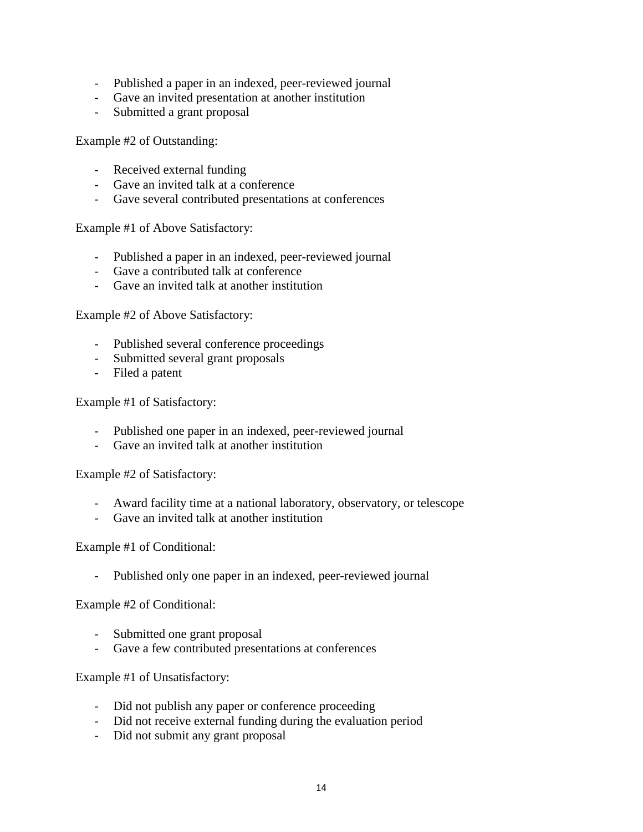- Published a paper in an indexed, peer-reviewed journal
- Gave an invited presentation at another institution
- Submitted a grant proposal

Example #2 of Outstanding:

- Received external funding
- Gave an invited talk at a conference
- Gave several contributed presentations at conferences

Example #1 of Above Satisfactory:

- Published a paper in an indexed, peer-reviewed journal
- Gave a contributed talk at conference
- Gave an invited talk at another institution

Example #2 of Above Satisfactory:

- Published several conference proceedings
- Submitted several grant proposals
- Filed a patent

Example #1 of Satisfactory:

- Published one paper in an indexed, peer-reviewed journal
- Gave an invited talk at another institution

Example #2 of Satisfactory:

- Award facility time at a national laboratory, observatory, or telescope
- Gave an invited talk at another institution

Example #1 of Conditional:

Published only one paper in an indexed, peer-reviewed journal

Example #2 of Conditional:

- Submitted one grant proposal
- Gave a few contributed presentations at conferences

Example #1 of Unsatisfactory:

- Did not publish any paper or conference proceeding
- Did not receive external funding during the evaluation period
- Did not submit any grant proposal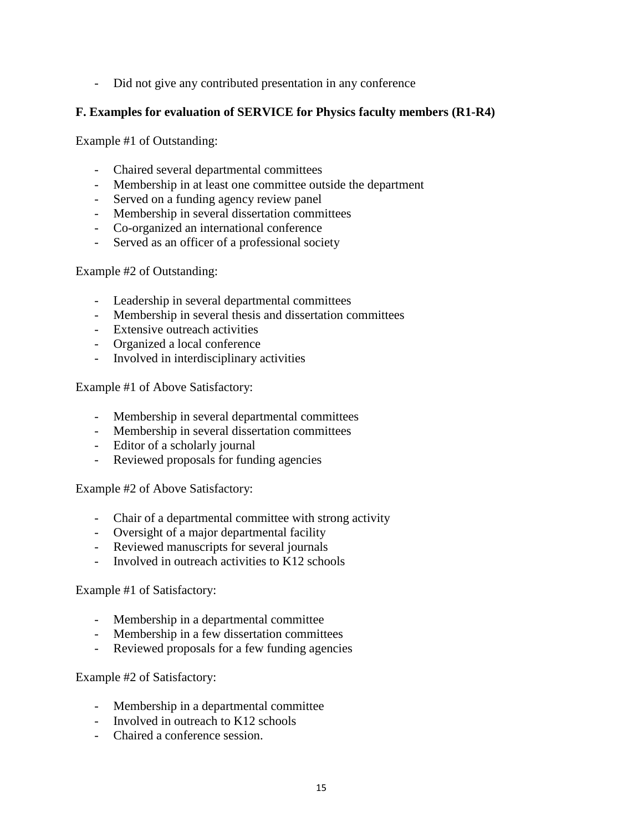- Did not give any contributed presentation in any conference

# **F. Examples for evaluation of SERVICE for Physics faculty members (R1-R4)**

Example #1 of Outstanding:

- Chaired several departmental committees
- Membership in at least one committee outside the department
- Served on a funding agency review panel
- Membership in several dissertation committees
- Co-organized an international conference
- Served as an officer of a professional society

Example #2 of Outstanding:

- Leadership in several departmental committees
- Membership in several thesis and dissertation committees
- Extensive outreach activities
- Organized a local conference
- Involved in interdisciplinary activities

Example #1 of Above Satisfactory:

- Membership in several departmental committees
- Membership in several dissertation committees
- Editor of a scholarly journal
- Reviewed proposals for funding agencies

Example #2 of Above Satisfactory:

- Chair of a departmental committee with strong activity
- Oversight of a major departmental facility
- Reviewed manuscripts for several journals
- Involved in outreach activities to K12 schools

Example #1 of Satisfactory:

- Membership in a departmental committee
- Membership in a few dissertation committees
- Reviewed proposals for a few funding agencies

Example #2 of Satisfactory:

- Membership in a departmental committee
- Involved in outreach to K12 schools
- Chaired a conference session.